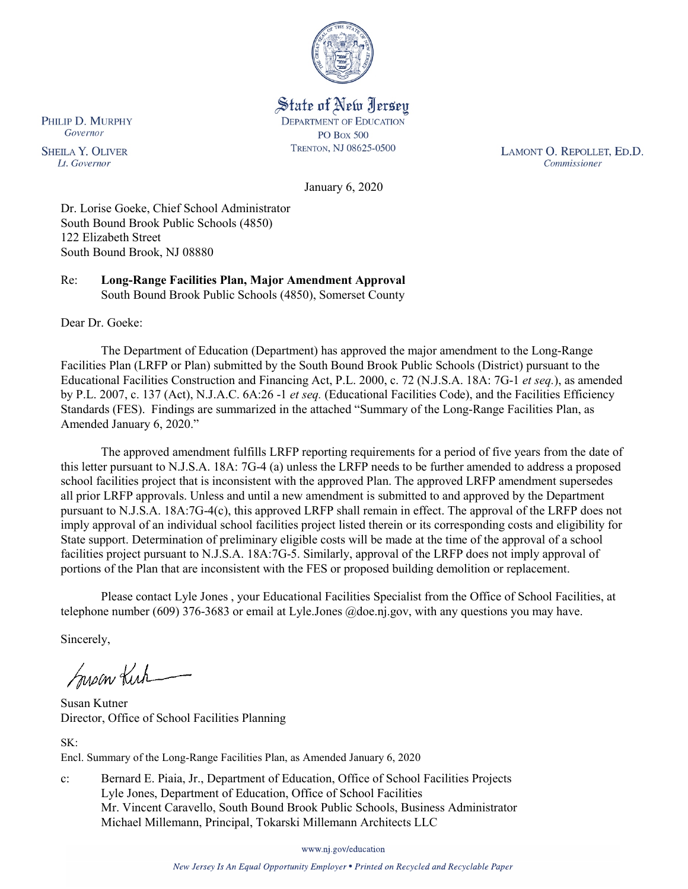

State of New Jersey **DEPARTMENT OF EDUCATION PO Box 500** TRENTON, NJ 08625-0500

LAMONT O. REPOLLET, ED.D. Commissioner

January 6, 2020

Dr. Lorise Goeke, Chief School Administrator South Bound Brook Public Schools (4850) 122 Elizabeth Street South Bound Brook, NJ 08880

Re: **Long-Range Facilities Plan, Major Amendment Approval** South Bound Brook Public Schools (4850), Somerset County

Dear Dr. Goeke:

The Department of Education (Department) has approved the major amendment to the Long-Range Facilities Plan (LRFP or Plan) submitted by the South Bound Brook Public Schools (District) pursuant to the Educational Facilities Construction and Financing Act, P.L. 2000, c. 72 (N.J.S.A. 18A: 7G-1 *et seq.*), as amended by P.L. 2007, c. 137 (Act), N.J.A.C. 6A:26 -1 *et seq.* (Educational Facilities Code), and the Facilities Efficiency Standards (FES). Findings are summarized in the attached "Summary of the Long-Range Facilities Plan, as Amended January 6, 2020."

The approved amendment fulfills LRFP reporting requirements for a period of five years from the date of this letter pursuant to N.J.S.A. 18A: 7G-4 (a) unless the LRFP needs to be further amended to address a proposed school facilities project that is inconsistent with the approved Plan. The approved LRFP amendment supersedes all prior LRFP approvals. Unless and until a new amendment is submitted to and approved by the Department pursuant to N.J.S.A. 18A:7G-4(c), this approved LRFP shall remain in effect. The approval of the LRFP does not imply approval of an individual school facilities project listed therein or its corresponding costs and eligibility for State support. Determination of preliminary eligible costs will be made at the time of the approval of a school facilities project pursuant to N.J.S.A. 18A:7G-5. Similarly, approval of the LRFP does not imply approval of portions of the Plan that are inconsistent with the FES or proposed building demolition or replacement.

Please contact Lyle Jones , your Educational Facilities Specialist from the Office of School Facilities, at telephone number (609) 376-3683 or email at Lyle.Jones @doe.nj.gov, with any questions you may have.

Sincerely,

Susan Kich

Susan Kutner Director, Office of School Facilities Planning

SK:

Encl. Summary of the Long-Range Facilities Plan, as Amended January 6, 2020

c: Bernard E. Piaia, Jr., Department of Education, Office of School Facilities Projects Lyle Jones, Department of Education, Office of School Facilities Mr. Vincent Caravello, South Bound Brook Public Schools, Business Administrator Michael Millemann, Principal, Tokarski Millemann Architects LLC

www.nj.gov/education

PHILIP D. MURPHY Governor

**SHEILA Y. OLIVER** Lt. Governor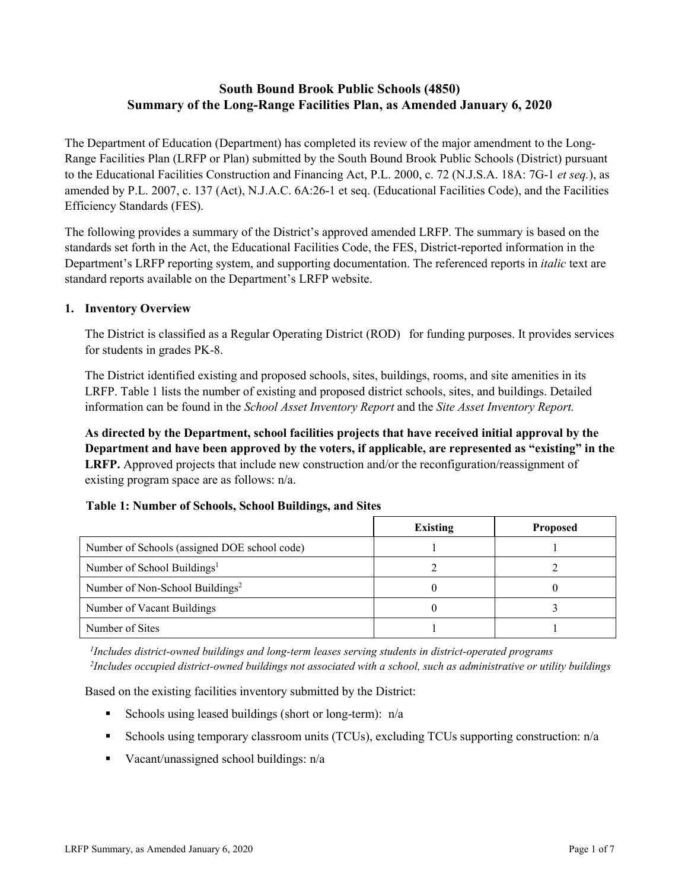# **South Bound Brook Public Schools (4850) Summary of the Long-Range Facilities Plan, as Amended January 6, 2020**

The Department of Education (Department) has completed its review of the major amendment to the Long-Range Facilities Plan (LRFP or Plan) submitted by the South Bound Brook Public Schools (District) pursuant to the Educational Facilities Construction and Financing Act, P.L. 2000, c. 72 (N.J.S.A. 18A: 7G-1 *et seq.*), as amended by P.L. 2007, c. 137 (Act), N.J.A.C. 6A:26-1 et seq. (Educational Facilities Code), and the Facilities Efficiency Standards (FES).

The following provides a summary of the District's approved amended LRFP. The summary is based on the standards set forth in the Act, the Educational Facilities Code, the FES, District-reported information in the Department's LRFP reporting system, and supporting documentation. The referenced reports in *italic* text are standard reports available on the Department's LRFP website.

#### **1. Inventory Overview**

The District is classified as a Regular Operating District (ROD) for funding purposes. It provides services for students in grades PK-8.

The District identified existing and proposed schools, sites, buildings, rooms, and site amenities in its LRFP. Table 1 lists the number of existing and proposed district schools, sites, and buildings. Detailed information can be found in the *School Asset Inventory Report* and the *Site Asset Inventory Report.*

**As directed by the Department, school facilities projects that have received initial approval by the Department and have been approved by the voters, if applicable, are represented as "existing" in the LRFP.** Approved projects that include new construction and/or the reconfiguration/reassignment of existing program space are as follows: n/a.

#### **Table 1: Number of Schools, School Buildings, and Sites**

|                                              | <b>Existing</b> | <b>Proposed</b> |
|----------------------------------------------|-----------------|-----------------|
| Number of Schools (assigned DOE school code) |                 |                 |
| Number of School Buildings <sup>1</sup>      |                 |                 |
| Number of Non-School Buildings <sup>2</sup>  |                 |                 |
| Number of Vacant Buildings                   |                 |                 |
| Number of Sites                              |                 |                 |

*1 Includes district-owned buildings and long-term leases serving students in district-operated programs 2 Includes occupied district-owned buildings not associated with a school, such as administrative or utility buildings*

Based on the existing facilities inventory submitted by the District:

- Schools using leased buildings (short or long-term):  $n/a$
- Schools using temporary classroom units (TCUs), excluding TCUs supporting construction: n/a
- Vacant/unassigned school buildings:  $n/a$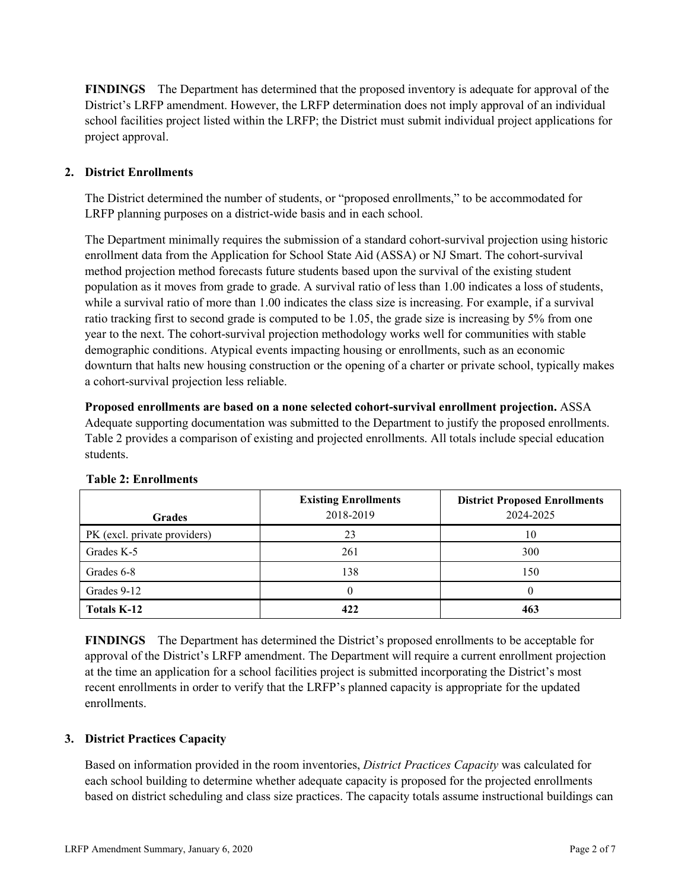**FINDINGS** The Department has determined that the proposed inventory is adequate for approval of the District's LRFP amendment. However, the LRFP determination does not imply approval of an individual school facilities project listed within the LRFP; the District must submit individual project applications for project approval.

## **2. District Enrollments**

The District determined the number of students, or "proposed enrollments," to be accommodated for LRFP planning purposes on a district-wide basis and in each school.

The Department minimally requires the submission of a standard cohort-survival projection using historic enrollment data from the Application for School State Aid (ASSA) or NJ Smart. The cohort-survival method projection method forecasts future students based upon the survival of the existing student population as it moves from grade to grade. A survival ratio of less than 1.00 indicates a loss of students, while a survival ratio of more than 1.00 indicates the class size is increasing. For example, if a survival ratio tracking first to second grade is computed to be 1.05, the grade size is increasing by 5% from one year to the next. The cohort-survival projection methodology works well for communities with stable demographic conditions. Atypical events impacting housing or enrollments, such as an economic downturn that halts new housing construction or the opening of a charter or private school, typically makes a cohort-survival projection less reliable.

**Proposed enrollments are based on a none selected cohort-survival enrollment projection.** ASSA Adequate supporting documentation was submitted to the Department to justify the proposed enrollments. Table 2 provides a comparison of existing and projected enrollments. All totals include special education students.

| <b>Grades</b>                | <b>Existing Enrollments</b><br>2018-2019 | <b>District Proposed Enrollments</b><br>2024-2025 |
|------------------------------|------------------------------------------|---------------------------------------------------|
| PK (excl. private providers) | 23                                       | 10                                                |
| Grades K-5                   | 261                                      | 300                                               |
| Grades 6-8                   | 138                                      | 150                                               |
| Grades 9-12                  | 0                                        |                                                   |
| <b>Totals K-12</b>           | 422                                      | 463                                               |

#### **Table 2: Enrollments**

**FINDINGS** The Department has determined the District's proposed enrollments to be acceptable for approval of the District's LRFP amendment. The Department will require a current enrollment projection at the time an application for a school facilities project is submitted incorporating the District's most recent enrollments in order to verify that the LRFP's planned capacity is appropriate for the updated enrollments.

#### **3. District Practices Capacity**

Based on information provided in the room inventories, *District Practices Capacity* was calculated for each school building to determine whether adequate capacity is proposed for the projected enrollments based on district scheduling and class size practices. The capacity totals assume instructional buildings can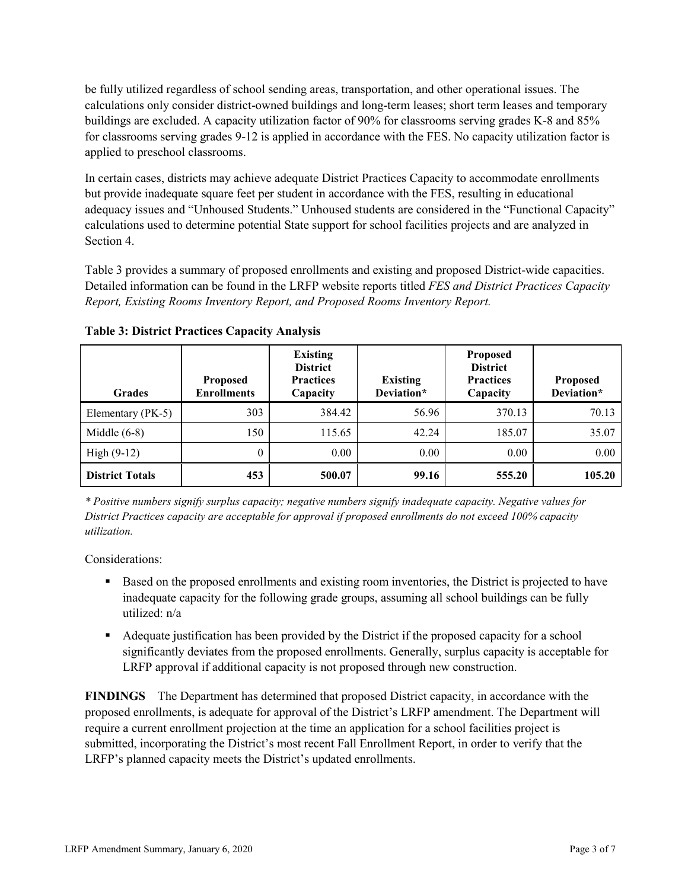be fully utilized regardless of school sending areas, transportation, and other operational issues. The calculations only consider district-owned buildings and long-term leases; short term leases and temporary buildings are excluded. A capacity utilization factor of 90% for classrooms serving grades K-8 and 85% for classrooms serving grades 9-12 is applied in accordance with the FES. No capacity utilization factor is applied to preschool classrooms.

In certain cases, districts may achieve adequate District Practices Capacity to accommodate enrollments but provide inadequate square feet per student in accordance with the FES, resulting in educational adequacy issues and "Unhoused Students." Unhoused students are considered in the "Functional Capacity" calculations used to determine potential State support for school facilities projects and are analyzed in Section 4.

Table 3 provides a summary of proposed enrollments and existing and proposed District-wide capacities. Detailed information can be found in the LRFP website reports titled *FES and District Practices Capacity Report, Existing Rooms Inventory Report, and Proposed Rooms Inventory Report.*

| <b>Grades</b>          | <b>Proposed</b><br><b>Enrollments</b> | <b>Existing</b><br><b>District</b><br><b>Practices</b><br>Capacity | <b>Existing</b><br>Deviation* | <b>Proposed</b><br><b>District</b><br><b>Practices</b><br>Capacity | <b>Proposed</b><br>Deviation* |
|------------------------|---------------------------------------|--------------------------------------------------------------------|-------------------------------|--------------------------------------------------------------------|-------------------------------|
| Elementary (PK-5)      | 303                                   | 384.42                                                             | 56.96                         | 370.13                                                             | 70.13                         |
| Middle $(6-8)$         | 150                                   | 115.65                                                             | 42.24                         | 185.07                                                             | 35.07                         |
| High $(9-12)$          | $\theta$                              | 0.00                                                               | 0.00                          | 0.00                                                               | 0.00                          |
| <b>District Totals</b> | 453                                   | 500.07                                                             | 99.16                         | 555.20                                                             | 105.20                        |

**Table 3: District Practices Capacity Analysis**

*\* Positive numbers signify surplus capacity; negative numbers signify inadequate capacity. Negative values for District Practices capacity are acceptable for approval if proposed enrollments do not exceed 100% capacity utilization.*

Considerations:

- **Based on the proposed enrollments and existing room inventories, the District is projected to have** inadequate capacity for the following grade groups, assuming all school buildings can be fully utilized: n/a
- Adequate justification has been provided by the District if the proposed capacity for a school significantly deviates from the proposed enrollments. Generally, surplus capacity is acceptable for LRFP approval if additional capacity is not proposed through new construction.

**FINDINGS**The Department has determined that proposed District capacity, in accordance with the proposed enrollments, is adequate for approval of the District's LRFP amendment. The Department will require a current enrollment projection at the time an application for a school facilities project is submitted, incorporating the District's most recent Fall Enrollment Report, in order to verify that the LRFP's planned capacity meets the District's updated enrollments.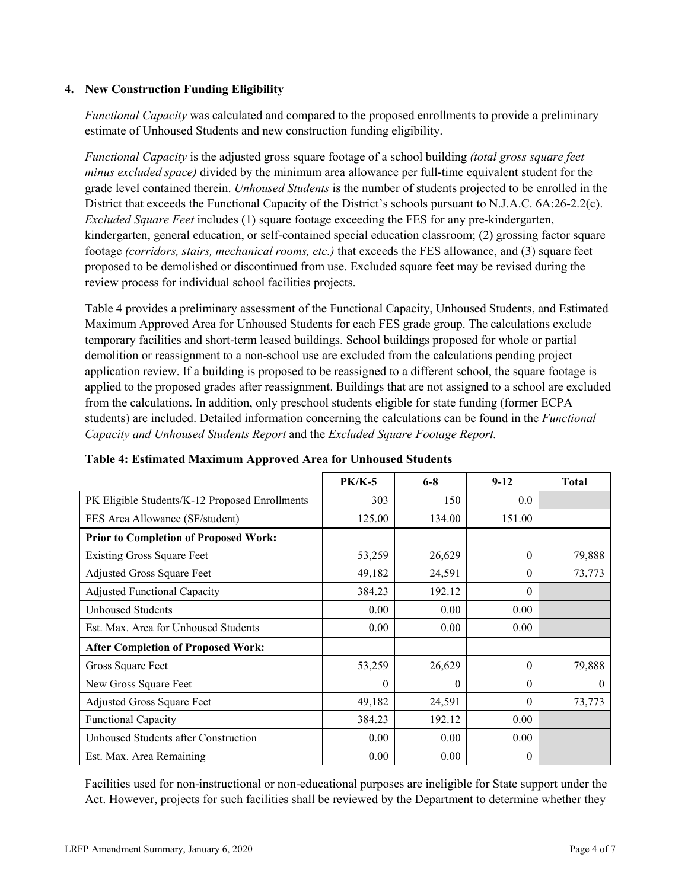#### **4. New Construction Funding Eligibility**

*Functional Capacity* was calculated and compared to the proposed enrollments to provide a preliminary estimate of Unhoused Students and new construction funding eligibility.

*Functional Capacity* is the adjusted gross square footage of a school building *(total gross square feet minus excluded space)* divided by the minimum area allowance per full-time equivalent student for the grade level contained therein. *Unhoused Students* is the number of students projected to be enrolled in the District that exceeds the Functional Capacity of the District's schools pursuant to N.J.A.C. 6A:26-2.2(c). *Excluded Square Feet* includes (1) square footage exceeding the FES for any pre-kindergarten, kindergarten, general education, or self-contained special education classroom; (2) grossing factor square footage *(corridors, stairs, mechanical rooms, etc.)* that exceeds the FES allowance, and (3) square feet proposed to be demolished or discontinued from use. Excluded square feet may be revised during the review process for individual school facilities projects.

Table 4 provides a preliminary assessment of the Functional Capacity, Unhoused Students, and Estimated Maximum Approved Area for Unhoused Students for each FES grade group. The calculations exclude temporary facilities and short-term leased buildings. School buildings proposed for whole or partial demolition or reassignment to a non-school use are excluded from the calculations pending project application review. If a building is proposed to be reassigned to a different school, the square footage is applied to the proposed grades after reassignment. Buildings that are not assigned to a school are excluded from the calculations. In addition, only preschool students eligible for state funding (former ECPA students) are included. Detailed information concerning the calculations can be found in the *Functional Capacity and Unhoused Students Report* and the *Excluded Square Footage Report.*

|                                                | <b>PK/K-5</b> | $6 - 8$  | $9 - 12$ | <b>Total</b> |
|------------------------------------------------|---------------|----------|----------|--------------|
| PK Eligible Students/K-12 Proposed Enrollments | 303           | 150      | 0.0      |              |
| FES Area Allowance (SF/student)                | 125.00        | 134.00   | 151.00   |              |
| <b>Prior to Completion of Proposed Work:</b>   |               |          |          |              |
| <b>Existing Gross Square Feet</b>              | 53,259        | 26,629   | $\Omega$ | 79,888       |
| Adjusted Gross Square Feet                     | 49,182        | 24,591   | $\theta$ | 73,773       |
| <b>Adjusted Functional Capacity</b>            | 384.23        | 192.12   | $\Omega$ |              |
| Unhoused Students                              | 0.00          | 0.00     | 0.00     |              |
| Est. Max. Area for Unhoused Students           | 0.00          | 0.00     | 0.00     |              |
| <b>After Completion of Proposed Work:</b>      |               |          |          |              |
| Gross Square Feet                              | 53,259        | 26,629   | $\Omega$ | 79,888       |
| New Gross Square Feet                          | 0             | $\theta$ | $\Omega$ | $\theta$     |
| <b>Adjusted Gross Square Feet</b>              | 49,182        | 24,591   | $\Omega$ | 73,773       |
| <b>Functional Capacity</b>                     | 384.23        | 192.12   | 0.00     |              |
| Unhoused Students after Construction           | 0.00          | 0.00     | 0.00     |              |
| Est. Max. Area Remaining                       | 0.00          | 0.00     | $\Omega$ |              |

## **Table 4: Estimated Maximum Approved Area for Unhoused Students**

Facilities used for non-instructional or non-educational purposes are ineligible for State support under the Act. However, projects for such facilities shall be reviewed by the Department to determine whether they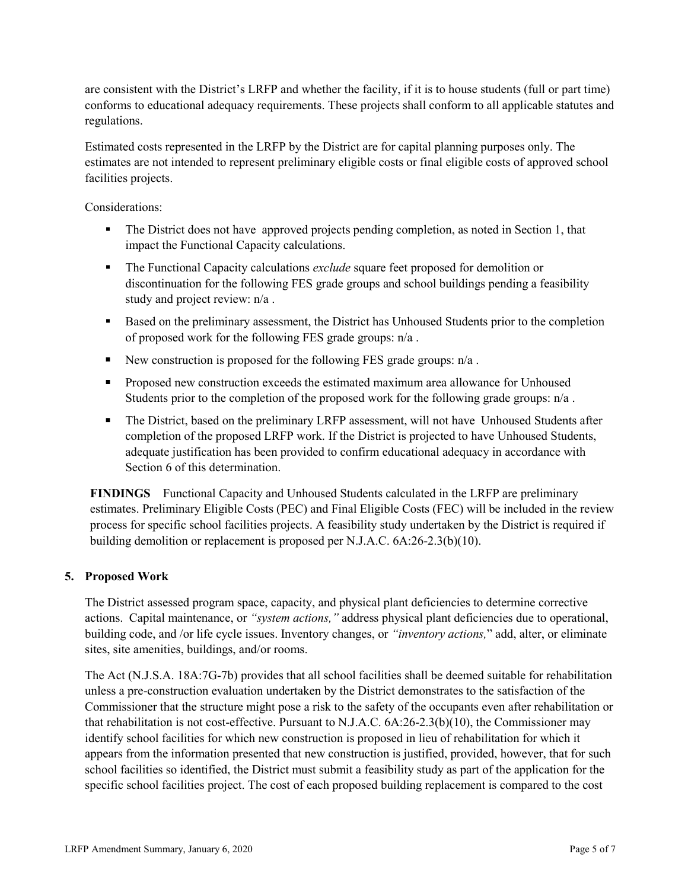are consistent with the District's LRFP and whether the facility, if it is to house students (full or part time) conforms to educational adequacy requirements. These projects shall conform to all applicable statutes and regulations.

Estimated costs represented in the LRFP by the District are for capital planning purposes only. The estimates are not intended to represent preliminary eligible costs or final eligible costs of approved school facilities projects.

Considerations:

- The District does not have approved projects pending completion, as noted in Section 1, that impact the Functional Capacity calculations.
- The Functional Capacity calculations *exclude* square feet proposed for demolition or discontinuation for the following FES grade groups and school buildings pending a feasibility study and project review: n/a .
- Based on the preliminary assessment, the District has Unhoused Students prior to the completion of proposed work for the following FES grade groups: n/a .
- New construction is proposed for the following FES grade groups:  $n/a$ .
- **Proposed new construction exceeds the estimated maximum area allowance for Unhoused** Students prior to the completion of the proposed work for the following grade groups: n/a .
- The District, based on the preliminary LRFP assessment, will not have Unhoused Students after completion of the proposed LRFP work. If the District is projected to have Unhoused Students, adequate justification has been provided to confirm educational adequacy in accordance with Section 6 of this determination.

**FINDINGS** Functional Capacity and Unhoused Students calculated in the LRFP are preliminary estimates. Preliminary Eligible Costs (PEC) and Final Eligible Costs (FEC) will be included in the review process for specific school facilities projects. A feasibility study undertaken by the District is required if building demolition or replacement is proposed per N.J.A.C. 6A:26-2.3(b)(10).

## **5. Proposed Work**

The District assessed program space, capacity, and physical plant deficiencies to determine corrective actions. Capital maintenance, or *"system actions,"* address physical plant deficiencies due to operational, building code, and /or life cycle issues. Inventory changes, or *"inventory actions,*" add, alter, or eliminate sites, site amenities, buildings, and/or rooms.

The Act (N.J.S.A. 18A:7G-7b) provides that all school facilities shall be deemed suitable for rehabilitation unless a pre-construction evaluation undertaken by the District demonstrates to the satisfaction of the Commissioner that the structure might pose a risk to the safety of the occupants even after rehabilitation or that rehabilitation is not cost-effective. Pursuant to N.J.A.C. 6A:26-2.3(b)(10), the Commissioner may identify school facilities for which new construction is proposed in lieu of rehabilitation for which it appears from the information presented that new construction is justified, provided, however, that for such school facilities so identified, the District must submit a feasibility study as part of the application for the specific school facilities project. The cost of each proposed building replacement is compared to the cost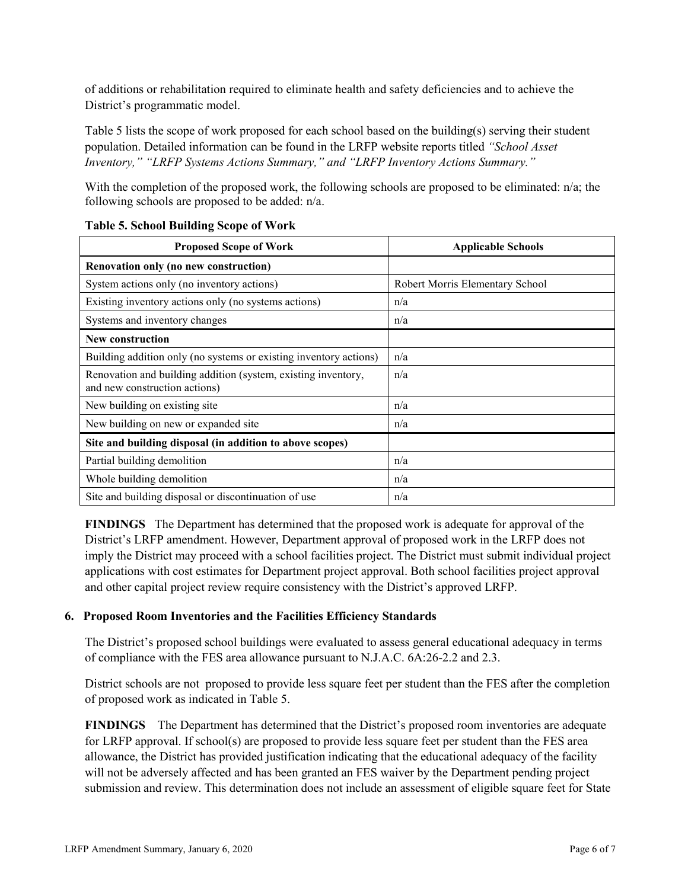of additions or rehabilitation required to eliminate health and safety deficiencies and to achieve the District's programmatic model.

Table 5 lists the scope of work proposed for each school based on the building(s) serving their student population. Detailed information can be found in the LRFP website reports titled *"School Asset Inventory," "LRFP Systems Actions Summary," and "LRFP Inventory Actions Summary."*

With the completion of the proposed work, the following schools are proposed to be eliminated: n/a; the following schools are proposed to be added: n/a.

| <b>Proposed Scope of Work</b>                                                                  | <b>Applicable Schools</b>       |
|------------------------------------------------------------------------------------------------|---------------------------------|
| Renovation only (no new construction)                                                          |                                 |
| System actions only (no inventory actions)                                                     | Robert Morris Elementary School |
| Existing inventory actions only (no systems actions)                                           | n/a                             |
| Systems and inventory changes                                                                  | n/a                             |
| <b>New construction</b>                                                                        |                                 |
| Building addition only (no systems or existing inventory actions)                              | n/a                             |
| Renovation and building addition (system, existing inventory,<br>and new construction actions) | n/a                             |
| New building on existing site                                                                  | n/a                             |
| New building on new or expanded site                                                           | n/a                             |
| Site and building disposal (in addition to above scopes)                                       |                                 |
| Partial building demolition                                                                    | n/a                             |
| Whole building demolition                                                                      | n/a                             |
| Site and building disposal or discontinuation of use                                           | n/a                             |

#### **Table 5. School Building Scope of Work**

**FINDINGS** The Department has determined that the proposed work is adequate for approval of the District's LRFP amendment. However, Department approval of proposed work in the LRFP does not imply the District may proceed with a school facilities project. The District must submit individual project applications with cost estimates for Department project approval. Both school facilities project approval and other capital project review require consistency with the District's approved LRFP.

## **6. Proposed Room Inventories and the Facilities Efficiency Standards**

The District's proposed school buildings were evaluated to assess general educational adequacy in terms of compliance with the FES area allowance pursuant to N.J.A.C. 6A:26-2.2 and 2.3.

District schools are not proposed to provide less square feet per student than the FES after the completion of proposed work as indicated in Table 5.

**FINDINGS** The Department has determined that the District's proposed room inventories are adequate for LRFP approval. If school(s) are proposed to provide less square feet per student than the FES area allowance, the District has provided justification indicating that the educational adequacy of the facility will not be adversely affected and has been granted an FES waiver by the Department pending project submission and review. This determination does not include an assessment of eligible square feet for State